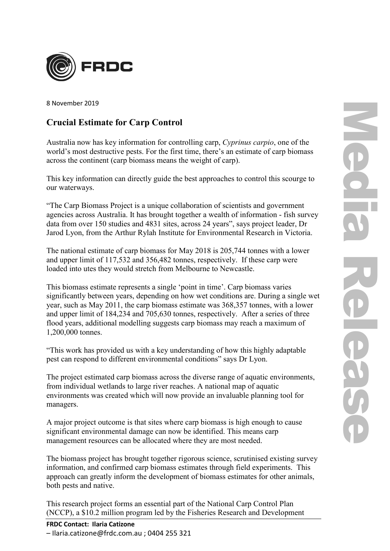

8 November 2019

## **Crucial Estimate for Carp Control**

Australia now has key information for controlling carp, *Cyprinus carpio*, one of the world's most destructive pests. For the first time, there's an estimate of carp biomass across the continent (carp biomass means the weight of carp).

This key information can directly guide the best approaches to control this scourge to our waterways.

"The Carp Biomass Project is a unique collaboration of scientists and government agencies across Australia. It has brought together a wealth of information - fish survey data from over 150 studies and 4831 sites, across 24 years", says project leader, Dr Jarod Lyon, from the Arthur Rylah Institute for Environmental Research in Victoria.

The national estimate of carp biomass for May 2018 is 205,744 tonnes with a lower and upper limit of 117,532 and 356,482 tonnes, respectively. If these carp were loaded into utes they would stretch from Melbourne to Newcastle.

This biomass estimate represents a single 'point in time'. Carp biomass varies significantly between years, depending on how wet conditions are. During a single wet year, such as May 2011, the carp biomass estimate was 368,357 tonnes, with a lower and upper limit of 184,234 and 705,630 tonnes, respectively. After a series of three flood years, additional modelling suggests carp biomass may reach a maximum of 1,200,000 tonnes.

"This work has provided us with a key understanding of how this highly adaptable pest can respond to different environmental conditions" says Dr Lyon.

The project estimated carp biomass across the diverse range of aquatic environments, from individual wetlands to large river reaches. A national map of aquatic environments was created which will now provide an invaluable planning tool for managers.

A major project outcome is that sites where carp biomass is high enough to cause significant environmental damage can now be identified. This means carp management resources can be allocated where they are most needed.

The biomass project has brought together rigorous science, scrutinised existing survey information, and confirmed carp biomass estimates through field experiments. This approach can greatly inform the development of biomass estimates for other animals, both pests and native.

This research project forms an essential part of the National Carp Control Plan (NCCP), a \$10.2 million program led by the Fisheries Research and Development